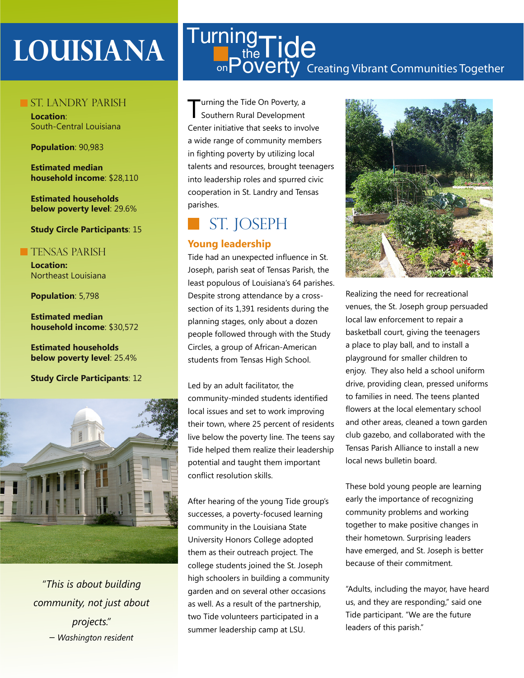# **Louisiana**

### ST. LANDRY PARISH

**Location**: South-Central Louisiana

### **Population**: 90,983

**Estimated median household income**: \$28,110

**Estimated households below poverty level**: 29.6%

### **Study Circle Participants**: 15

### **TENSAS PARISH**

**Location:**  Northeast Louisiana

**Population**: 5,798

**Estimated median household income**: \$30,572

**Estimated households below poverty level**: 25.4%

**Study Circle Participants**: 12



*"This is about building community, not just about projects." – Washington resident*

### Creating Vibrant Communities Together **Turning**  $t_{\text{the}}^{\text{19}}$ Tide <sub>on</sub>Poverty

urning the Tide On Poverty, a Southern Rural Development Center initiative that seeks to involve a wide range of community members in fighting poverty by utilizing local talents and resources, brought teenagers into leadership roles and spurred civic cooperation in St. Landry and Tensas parishes.

## St. joseph

### **Young leadership**

Tide had an unexpected influence in St. Joseph, parish seat of Tensas Parish, the least populous of Louisiana's 64 parishes. Despite strong attendance by a crosssection of its 1,391 residents during the planning stages, only about a dozen people followed through with the Study Circles, a group of African-American students from Tensas High School.

Led by an adult facilitator, the community-minded students identified local issues and set to work improving their town, where 25 percent of residents live below the poverty line. The teens say Tide helped them realize their leadership potential and taught them important conflict resolution skills.

After hearing of the young Tide group's successes, a poverty-focused learning community in the Louisiana State University Honors College adopted them as their outreach project. The college students joined the St. Joseph high schoolers in building a community garden and on several other occasions as well. As a result of the partnership, two Tide volunteers participated in a summer leadership camp at LSU.



Realizing the need for recreational venues, the St. Joseph group persuaded local law enforcement to repair a basketball court, giving the teenagers a place to play ball, and to install a playground for smaller children to enjoy. They also held a school uniform drive, providing clean, pressed uniforms to families in need. The teens planted flowers at the local elementary school and other areas, cleaned a town garden club gazebo, and collaborated with the Tensas Parish Alliance to install a new local news bulletin board.

These bold young people are learning early the importance of recognizing community problems and working together to make positive changes in their hometown. Surprising leaders have emerged, and St. Joseph is better because of their commitment.

"Adults, including the mayor, have heard us, and they are responding," said one Tide participant. "We are the future leaders of this parish."